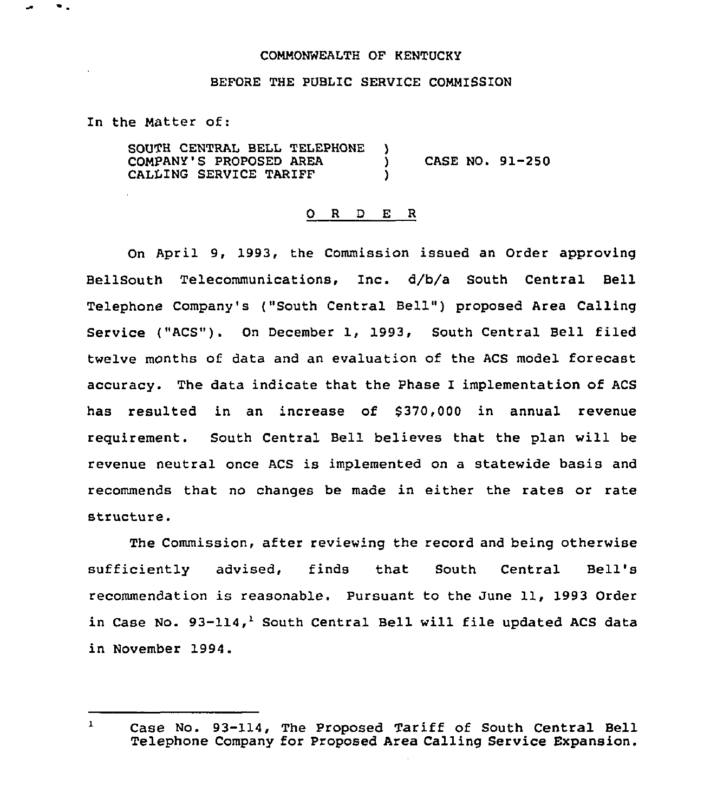## CONNONWEALTH OF KENTUCKY

## BEFORE THE PUBLIC SERVICE COMMISSION

In the Natter of:

 $\bullet$  .

SOUTH CENTRAL BELL TELEPHONE )<br>COMPANY'S PROPOSED AREA COMPANY'S PROPOSED AREA (2008) CASE NO. 91-250<br>CALLING SERVICE TARIFF CALLING SERVICE TARIFF

## O R D E R

On April 9, 1993, the Commission issued an Order approving BellSouth Telecommunications, Inc. d/b/a South Central Bell Telephone Company's ("South Central Bell" ) proposed Area Calling Service ("ACS"). On December 1, 1993, South Central Bell filed twelve months of data and an evaluation of the ACS model forecast accuracy. The data indicate that the Phase I implementation of ACS has resulted in an increase of \$370,000 in annual revenue requirement. South Central Bell believes that the plan will be revenue neutral once ACS is implemented on a statewide basis and recommends that no changes be made in either the rates or rate structure.

The Commission, after reviewing the record and being otherwise sufficiently advised, finds that South Central Bell' recommendation is reasonable. Pursuant to the June 11, 1993 Order in Case No. 93-114,<sup>1</sup> South Central Bell will file updated ACS data in November 1994.

 $\mathbf{1}$ Case No. 93-114, The Proposed Tariff of South Central Bell Telephone Company for Proposed Area Calling Service Expansion.